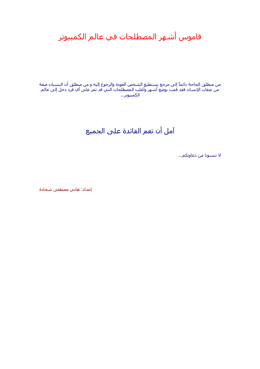قاموس أشهر المصطلحات في عالم الكمبيوتر

من منطلق الحاجة دائماً إلى مرجع يستطيع الشخص العودة والرجوع إليه و من منطلق أن النسيان صفة من صفات الإنسان فقد قمت بوضع أشهر وأغلب المصطلحات التي قد تمر على أي فرد دخل إلى عالم الكمبيوتر...

# آمل أن تعم الفائدة على الجميع

لا تنسونا من دعاوتكم...

إعداد: هاني مصطفى شحادة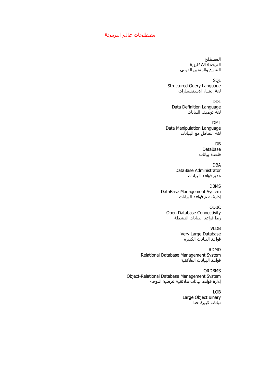#### مصطلحات عالم البرمجة

المصطلح الترجمة الإنكليزية الشرح والمعنى العربي

**SOL** Structured Query Language لغة إنشاء الاستفسارات

DDL Data Definition Language لغة توصيف البيانات

DML Data Manipulation Language لغة التعامل مع البيانات

> DB DataBase قاعدة بيانات

DBA DataBase Administrator مدير قواعد البيانات

DBMS DataBase Management System إدارة نظم قواعد البيانات

ODBC Open Database Connectivity ربط قواعد البيانات النشطة

> VLDB Very Large Database قواعد البيانات الكبيرة

RDMD Relational Database Management System قواعد البيانات العلائقية

ORDBMS Object-Relational Database Management System إدارة قواعد بيانات علائقية غرضية التوجه

> LOB Large Object Binary بيانات كبيرة جدا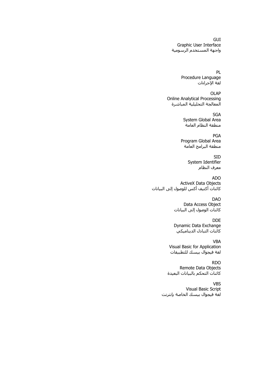**GUI** Graphic User Interface واجهة المستخدم الرسومية

> PL Procedure Language لغة الإجراءات

OLAP Online Analytical Processing المعالجة التحليلية المباشرة

> SGA System Global Area منطقة النظام العامة

PGA Program Global Area منطقة البرامج العامة

> SID System Identifier معرف النظام

ADO ActiveX Data Objects كائنات أكتيف أكس للوصول إلى البيانات

> DAO Data Access Object آائنات الوصول إلى البيانات

> DDE Dynamic Data Exchange عوب.....<u>...</u><br>كائنات التبادل الديناميكي

VBA Visual Basic for Application لغة فيجوال بيسك للتطبيقات

RDO Remote Data Objects آائنات التحكم بالبيانات البعيدة

VBS Visual Basic Script لغة فيجوال بيسك الخاصة بإنترنت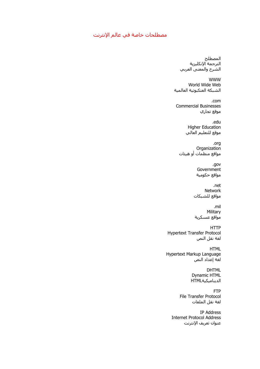## مصطلحات خاصة في عالم الإنترنت

المصطلح الترجمة الإنكليزية الشرح والمعنى العربي

WWW World Wide Web الشبكة العنكبوتية العالمية

.com Commercial Businesses موقع تجاري

> .edu Higher Education موقع للتعليم العالي

.org **Organization** مواقع منظمات أو هيئات

> .gov **Government** مواقع حكومية

.net Network مواقع للشبكات

.mil Military مواقع عسكرية

HTTP Hypertext Transfer Protocol لغة نقل النص

HTML Hypertext Markup Language لغة إعداد النص

> DHTML Dynamic HTML الديناميكيةHTML

FTP File Transfer Protocol لغة نقل الملفات

IP Address Internet Protocol Address عنوان تعريف الإنترنت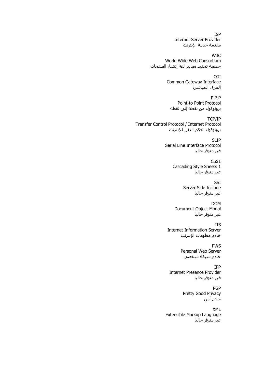ISP Internet Server Provider مقدمة خدمة الإنترنت

W3C World Wide Web Consortium جمعية تحديد معايير لغة إنشاء الصفحات

> CGI Common Gateway Interface الطرق المباشرة

P.P.P Point-to Point Protocol بروتوكول من نقطة إلى نقطة

TCP/IP Transfer Control Protocol / Internet Protocol بروتوكول تحكم النقل للإنترنت

> SLIP Serial Line Interface Protocol غير متوفر حاليا

> > CSS1 Cascading Style Sheets 1 غير متوفر حاليا

> > > **SSI** Server Side Include غير متوفر حاليا

DOM Document Object Modal غير متوفر حاليا

IIS Internet Information Server خادم معلومات الإنترنت

> PWS Personal Web Server خادم شبكة شخصي

IPP Internet Presence Provider غير متوفر حاليا

> PGP Pretty Good Privacy .<br>خادم أمن

XML Extensible Markup Language غير متوفر حاليا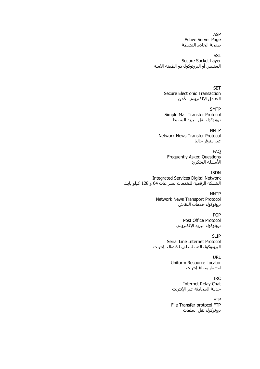ASP Active Server Page صفحة الخادم النشطة

**SSL** Secure Socket Layer المقبس أو البروتوكول ذو الطبقة الآمنة

> SET Secure Electronic Transaction التعامل الإلكتروني الأمن

**SMTP** Simple Mail Transfer Protocol بروتوكول نقل البريد البسيط

**NNTP** Network News Transfer Protocol غير متوفر حاليا

> FAQ Frequently Asked Questions الأسئلة المتكررة

ISDN Integrated Services Digital Network الشبكة الرقمية للخدمات بسر عات 64 و 128 آيلو بايت

> **NNTP** Network News Transport Protocol بروتوكول خدمات النقاش

> > POP Post Office Protocol بروتوكول البريد الإلكتروني

SLIP Serial Line Internet Protocol البروتوكول التسلسلي للاتصال بإنترنت

> URL Uniform Resource Locator اختصار وصلة إنترنت

IRC Internet Relay Chat خدمة المحادثة عبر الإنترنت

FTP File Transfer protocol FTP بروتوكول نقل الملفات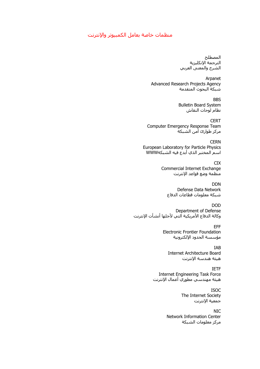### منظمات خاصة بعامل الكمبيوتر والإنترنت

المصطلح الترجمة الإنكليزية الشرح والمعنى العربي

Arpanet Advanced Research Projects Agency شبكة البحوث المتقدمة

> BBS Bulletin Board System نظام لوحات النقاش

**CERT** Computer Emergency Response Team مركز طوارئ أمن الشبكة

**CERN** European Laboratory for Particle Physics اسم المختبر الذي أبدع فيه الشبكةWWW

> CIX Commercial Internet Exchange منظمة وضع قواعد الإنترنت

DDN Defense Data Network شبكة معلومات قطاعات الدفاع

DOD Department of Defense وآالة الدفاع الأمريكية التي لأجلها أنشأت الإنترنت

> EFF Electronic Frontier Foundation مؤسسة الحدود الإلكترونية

IAB Internet Architecture Board هيئة هندسة الإنترنت

IETF Internet Engineering Task Force هيئة مهندسي مطوري أعمال الإنترنت

> ISOC The Internet Society جمعية الإنترنت

NIC Network Information Center مركز معلومات الشبكة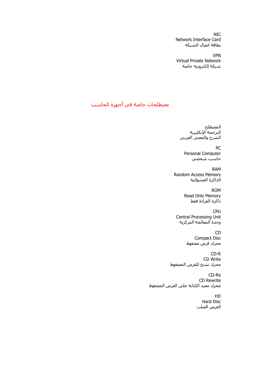NIC Network Interface Card بطاقة اتصال الشبكة

VPN Virtual Private Network شبكة إلكترونية خاصة

## مصطلحات خاصة في أجهزة الحاسب

المصطلح الترجمة الإنكليزية الشرح والمعنى العربي

PC Personal Computer حاسب شخصي

RAM Random Access Memory الذاكرة العشوائية

> ROM Read Only Memory ذاكرة القراءة فقط

CPU Central Processing Unit وحدة المعالجة المركزية

> CD Compact Disc محرك قرص مضغوط

CD-R CD Write محرك نسخ للقرص المضغوط

CD-Re CD Rewrite محرك معيد الكتابة على القرص المضغوط

> HD Hard Disc القرص الصلب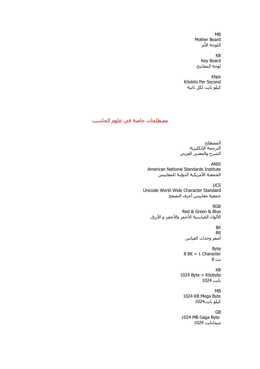MB Mother Board اللوحة الأم

KB Key Board لوحة المفاتيح

Kbps Kilobits Per Second آيلو بايت لكل ثانية

## مصطلحات خاصة في علوم الحاسب

المصطلح الترجمة الإنكليزية الشرح والمعنى العربي

ANSI American National Standards Institute الجمعية الأمريكية الدولية للمقاييس

**UCS** Unicode World Wide Character Standard جمعية مقاييس أحرف التصفح

RGB Red & Green & Blue الألوان القياسية الأحمر والأخضر و الأزرق

> Bit Bit أصغر وحدات القياس

Byte 8 Bit = 1 Character بت 8

KB 1024 Byte = Kilobyte بايت 1024

MB

1024 KB Mega Byte آيلو بايت1024

GB

1024 MB Gaga Byte ميجابايت 1024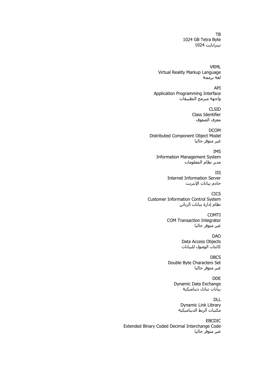TB 1024 GB Tetra Byte تيترابايت 1024

VRML Virtual Reality Markup Language لغة برمجة

API Application Programming Interface واجهة مبرمج التطبيقات

> CLSID Class Identifier معرف الصفوف

DCOM Distributed Component Object Model غير متوفر حاليا

IMS Information Management System مدير نظام المعلومات

> IIS Internet Information Server خادم بيانات الإنترنت

CICS Customer Information Control System نظام إدارة بيانات الزبائن

> COMTI COM Transaction Integrator غير متوفر حاليا

> > DAO Data Access Objects آائنات الوصول للبيانات

**DBCS** Double Byte Characters Set غير متوفر حاليا

> DDE Dynamic Data Exchange بيانات تبادل ديناميكية

DLL Dynamic Link Library مكتبات الربط الديناميكية

EBCDIC Extended Binary Coded Decimal Interchange Code غير متوفر حاليا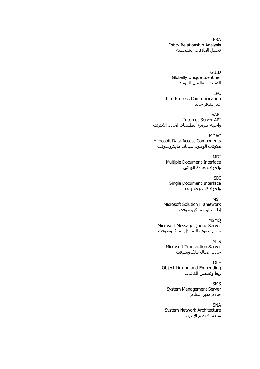ERA Entity Relationship Analysis تحليل العلاقات الشخصية

GUID Globally Unique Identifier التعريف العالمي الموحد

IPC InterProcess Communication غير متوفر حاليا

ISAPI Internet Server API واجهة مبرمج التطبيقات لخادم الإنترنت

MDAC Microsoft Data Access Components مكونات الوصول لبيانات مايكروسوفت

> MDI Multiple Document Interface واجهة متعددة الوثائق

SDI Single Document Interface واجهة ذات وجه واحد

**MSF** Microsoft Solution Framework إطار حلول مايكروسوفت

MSMQ Microsoft Message Queue Server خادم صفوف الرسائل لمايكروسوفت

> **MTS** Microsoft Transaction Server خادم أعمال مايكروسوفت

OLE Object Linking and Embedding ربط وتضمين الكائنات

SMS System Management Server خادم مدير النظام

SNA System Network Architecture هندسة نظم الإنترنت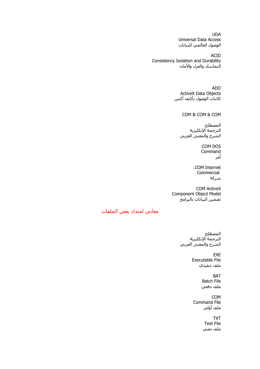UDA Universal Data Access الوصول العالمي للبيانات

ACID Consistency Isolation and Durability التماسك والعزل والأمان

> ADO ActiveX Data Objects كائنات الوصول بأكتف أكس

> > COM & COM & COM

المصطلح الترجمة الإنكليزية الشرح والمعنى العربي

> COM DOS Command أمر

.COM Internet Commercial شركة

COM ActiveX Component Object Model تضمين البيانات بالبرامج

## معاني امتداد بعض الملفات

المصطلح الترجمة الإنكليزية الشرح والمعنى العربي

> EXE Executable File ملف تنفيذي

> > BAT Batch File ملف دفعي

COM Command File ملف أوامر

TXT

Text File ملف نصي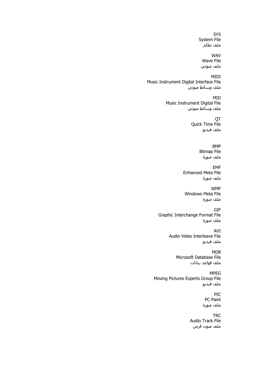SYS System File ملف نظام

WAV Wave File ملف صوتي

MIDI Music Instrument Digital Interface File ملف وسائط صوتي

> MID Music Instrument Digital File ملف وسائط صوتي

> > **OT** Quick Time File ملف فيديو

> > > BMP Bitmap File ملف صورة

EMF Enhanced Meta File ملف صورة

WMF Windows Meta File ملف صورة

GIF Graphic Interchange Format File ملف صورة

> AVI Audio Video Interleave File ملف فيديو

> > MDB Microsoft Database File ملف قواعد بيانات

MPEG Moving Pictures Experts Group File ملف فيديو

> PIC PC Paint ملف صورة

**TRC** Audio Track File ملف صوت قرص